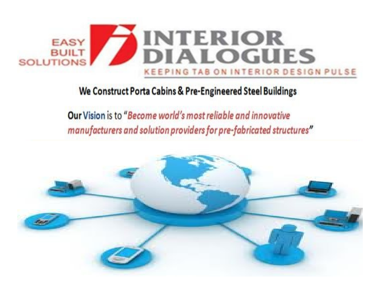

Our Vision is to "Become world's most reliable and innovative manufacturers and solution providers for pre-fabricated structures"

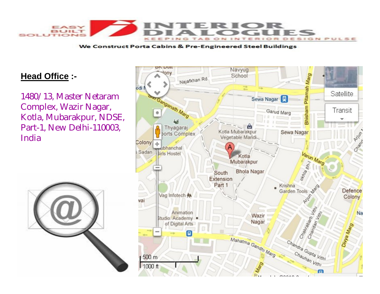

### **Head Office :-**

1480/13, Master Netaram Complex, Wazir Nagar, Kotla, Mubarakpur, NDSE, Part-1, New Delhi-110003, India



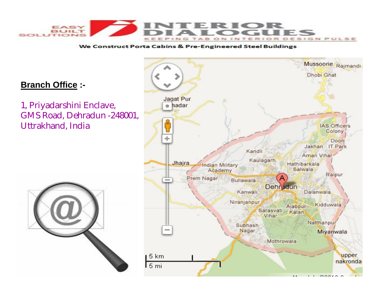

## **Branch Office :-**

1, Priyadarshini Enclave, GMS Road, Dehradun -248001, Uttrakhand, India



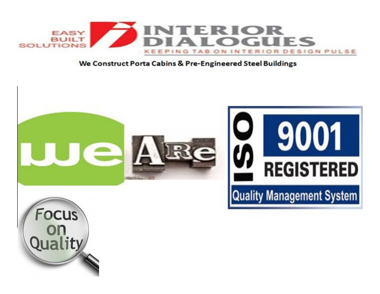

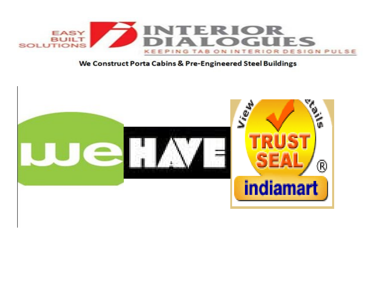

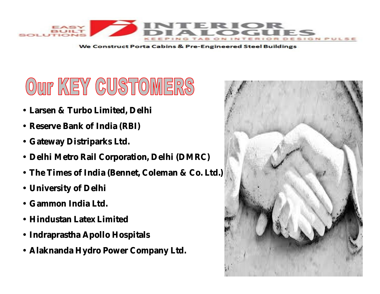

# OUT KEY CUSTOMERS

- **Larsen & Turbo Limited, Delhi**
- **Reserve Bank of India (RBI)**
- **Gateway Distriparks Ltd.**
- **Delhi Metro Rail Corporation, Delhi (DMRC)**
- **The Times of India (Bennet, Coleman & Co. Ltd.)**
- **University of Delhi**
- **Gammon India Ltd.**
- **Hindustan Latex Limited**
- **Indraprastha Apollo Hospitals**
- **Alaknanda Hydro Power Company Ltd.**

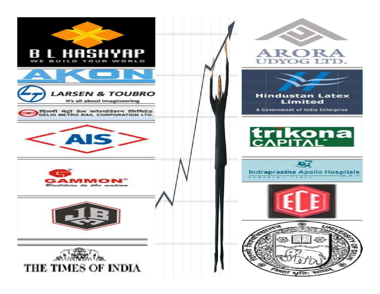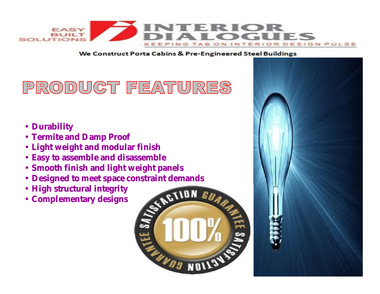

# PRODUCT FEATURES

- **Durability**
- **Termite and Damp Proof**
- **Light weight and modular finish**
- **Easy to assemble and disassemble**
- **Smooth finish and light weight panels**
- **Designed to meet space constraint demands**
- **High structural integrity**
- **Complementary designs**



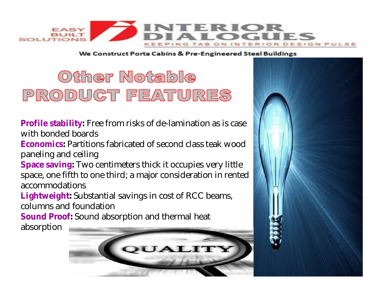

# Other Notable PRODUCT FEATURES

**Profile stability:** Free from risks of de-lamination as is case with bonded boards

**Economics:** Partitions fabricated of second class teak wood paneling and ceiling

**Space saving:** Two centimeters thick it occupies very little space, one fifth to one third; a major consideration in rented accommodations

**Lightweight:** Substantial savings in cost of RCC beams, columns and foundation

**Sound Proof:** Sound absorption and thermal heat

absorption

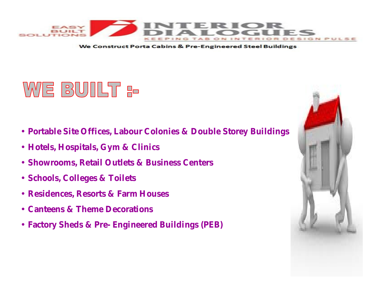

# WE BUILT <del>:-</del>

- **Portable Site Offices, Labour Colonies & Double Storey Buildings**
- **Hotels, Hospitals, Gym & Clinics**
- **Showrooms, Retail Outlets & Business Centers**
- **Schools, Colleges & Toilets**
- **Residences, Resorts & Farm Houses**
- **Canteens & Theme Decorations**
- **Factory Sheds & Pre- Engineered Buildings (PEB)**

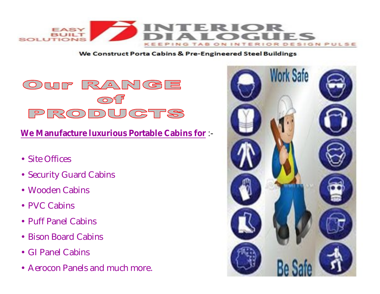



**We Manufacture luxurious Portable Cabins for** :-

- Site Offices
- Security Guard Cabins
- Wooden Cabins
- PVC Cabins
- Puff Panel Cabins
- Bison Board Cabins
- GI Panel Cabins
- Aerocon Panels and much more.

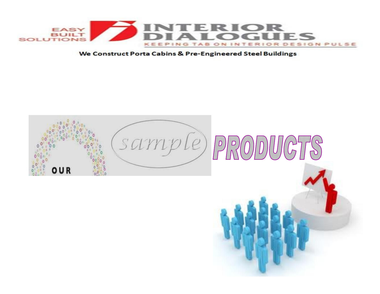

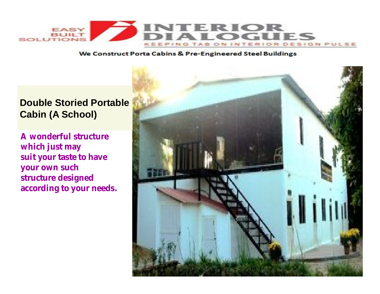

## **Double Storied Portable Cabin (A School)**

**A wonderful structure which just may suit your taste to have your own such structure designed according to your needs.** 

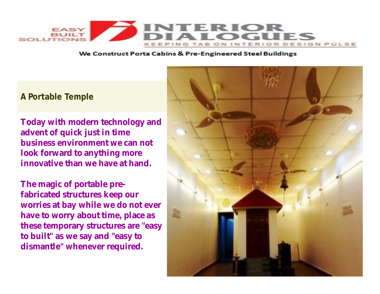

### **A Portable Temple**

**Today with modern technology and advent of quick just in time business environment we can not look forward to anything more innovative than we have at hand.**

**The magic of portable prefabricated structures keep our worries at bay while we do not ever have to worry about time, place as these temporary structures are "easy to built" as we say and "easy to dismantle" whenever required.**

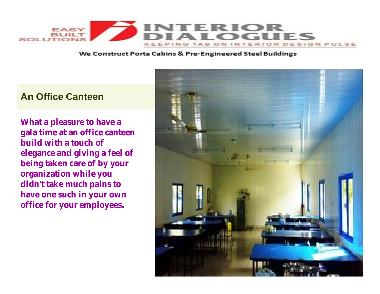

## **An Office Canteen**

**What a pleasure to have a gala time at an office canteen build with a touch of elegance and giving a feel of being taken care of by your organization while you didn't take much pains to have one such in your own office for your employees.**

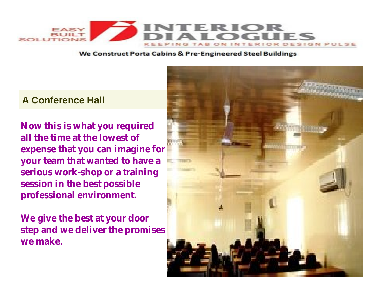

## **A Conference Hall**

**Now this is what you required all the time at the lowest of expense that you can imagine for your team that wanted to have a serious work-shop or a training session in the best possible professional environment.**

**We give the best at your door step and we deliver the promises we make.**

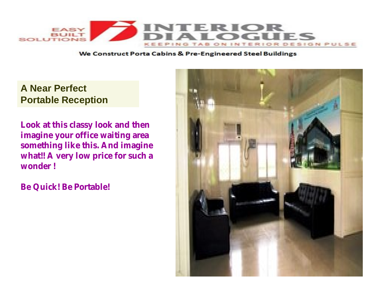

## **A Near Perfect Portable Reception**

**Look at this classy look and then imagine your office waiting area something like this. And imagine what!! A very low price for such a wonder !**

**Be Quick! Be Portable!**